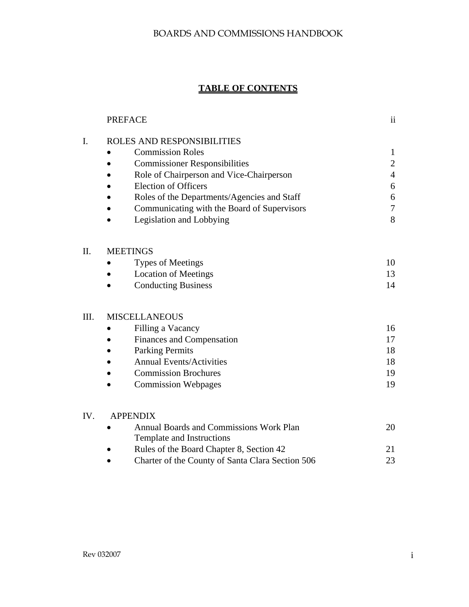# **TABLE OF CONTENTS**

|      | <b>PREFACE</b>                                                       | $\mathbf{ii}$    |
|------|----------------------------------------------------------------------|------------------|
| I.   | ROLES AND RESPONSIBILITIES                                           |                  |
|      | <b>Commission Roles</b>                                              | $\mathbf{1}$     |
|      | <b>Commissioner Responsibilities</b>                                 | $\overline{c}$   |
|      | Role of Chairperson and Vice-Chairperson                             | $\overline{4}$   |
|      | <b>Election of Officers</b>                                          | 6                |
|      | Roles of the Departments/Agencies and Staff                          | $\boldsymbol{6}$ |
|      | Communicating with the Board of Supervisors                          | $\tau$           |
|      | Legislation and Lobbying                                             | 8                |
| Η.   | <b>MEETINGS</b>                                                      |                  |
|      | <b>Types of Meetings</b>                                             | 10               |
|      | <b>Location of Meetings</b>                                          | 13               |
|      | <b>Conducting Business</b>                                           | 14               |
| III. | <b>MISCELLANEOUS</b>                                                 |                  |
|      | Filling a Vacancy                                                    | 16               |
|      | <b>Finances and Compensation</b>                                     | 17               |
|      | <b>Parking Permits</b>                                               | 18               |
|      | <b>Annual Events/Activities</b>                                      | 18               |
|      | <b>Commission Brochures</b>                                          | 19               |
|      | <b>Commission Webpages</b>                                           | 19               |
| IV.  | <b>APPENDIX</b>                                                      |                  |
|      | Annual Boards and Commissions Work Plan<br>Template and Instructions | 20               |
|      | Rules of the Board Chapter 8, Section 42                             | 21               |
|      | Charter of the County of Santa Clara Section 506                     | 23               |
|      |                                                                      |                  |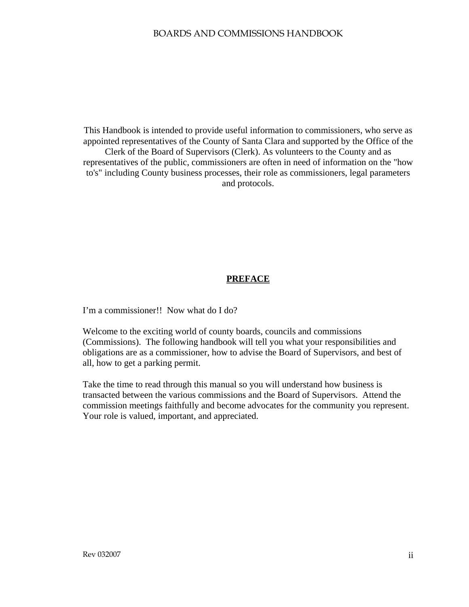This Handbook is intended to provide useful information to commissioners, who serve as appointed representatives of the County of Santa Clara and supported by the Office of the Clerk of the Board of Supervisors (Clerk). As volunteers to the County and as representatives of the public, commissioners are often in need of information on the "how to's" including County business processes, their role as commissioners, legal parameters and protocols.

#### **PREFACE**

I'm a commissioner!! Now what do I do?

Welcome to the exciting world of county boards, councils and commissions (Commissions). The following handbook will tell you what your responsibilities and obligations are as a commissioner, how to advise the Board of Supervisors, and best of all, how to get a parking permit.

Take the time to read through this manual so you will understand how business is transacted between the various commissions and the Board of Supervisors. Attend the commission meetings faithfully and become advocates for the community you represent. Your role is valued, important, and appreciated.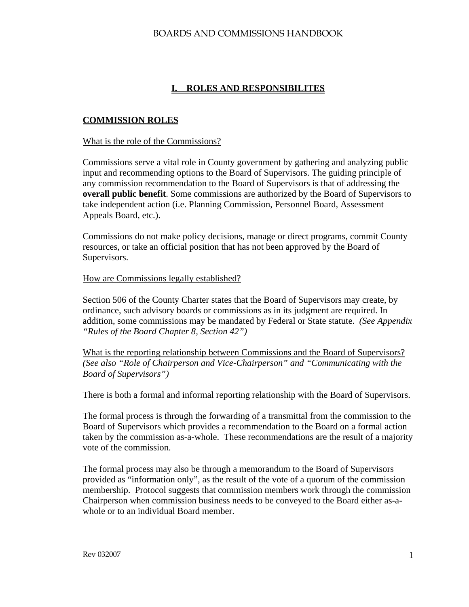# **I. ROLES AND RESPONSIBILITES**

### **COMMISSION ROLES**

#### What is the role of the Commissions?

Commissions serve a vital role in County government by gathering and analyzing public input and recommending options to the Board of Supervisors. The guiding principle of any commission recommendation to the Board of Supervisors is that of addressing the **overall public benefit**. Some commissions are authorized by the Board of Supervisors to take independent action (i.e. Planning Commission, Personnel Board, Assessment Appeals Board, etc.).

Commissions do not make policy decisions, manage or direct programs, commit County resources, or take an official position that has not been approved by the Board of Supervisors.

#### How are Commissions legally established?

Section 506 of the County Charter states that the Board of Supervisors may create, by ordinance, such advisory boards or commissions as in its judgment are required. In addition, some commissions may be mandated by Federal or State statute. *(See Appendix "Rules of the Board Chapter 8, Section 42")*

What is the reporting relationship between Commissions and the Board of Supervisors? *(See also "Role of Chairperson and Vice-Chairperson" and "Communicating with the Board of Supervisors")* 

There is both a formal and informal reporting relationship with the Board of Supervisors.

The formal process is through the forwarding of a transmittal from the commission to the Board of Supervisors which provides a recommendation to the Board on a formal action taken by the commission as-a-whole. These recommendations are the result of a majority vote of the commission.

The formal process may also be through a memorandum to the Board of Supervisors provided as "information only", as the result of the vote of a quorum of the commission membership. Protocol suggests that commission members work through the commission Chairperson when commission business needs to be conveyed to the Board either as-awhole or to an individual Board member.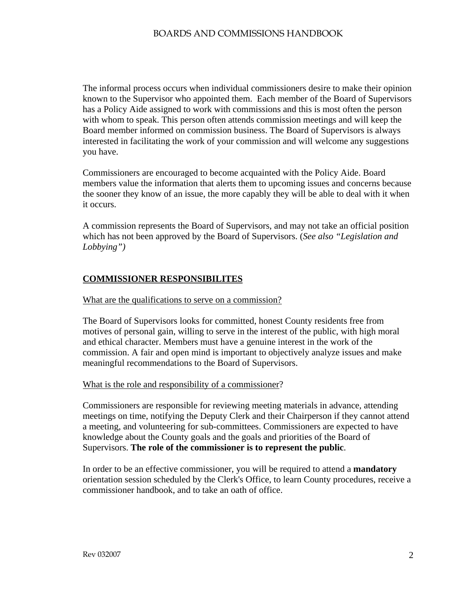The informal process occurs when individual commissioners desire to make their opinion known to the Supervisor who appointed them. Each member of the Board of Supervisors has a Policy Aide assigned to work with commissions and this is most often the person with whom to speak. This person often attends commission meetings and will keep the Board member informed on commission business. The Board of Supervisors is always interested in facilitating the work of your commission and will welcome any suggestions you have.

Commissioners are encouraged to become acquainted with the Policy Aide. Board members value the information that alerts them to upcoming issues and concerns because the sooner they know of an issue, the more capably they will be able to deal with it when it occurs.

A commission represents the Board of Supervisors, and may not take an official position which has not been approved by the Board of Supervisors. (*See also "Legislation and Lobbying")* 

### **COMMISSIONER RESPONSIBILITES**

#### What are the qualifications to serve on a commission?

The Board of Supervisors looks for committed, honest County residents free from motives of personal gain, willing to serve in the interest of the public, with high moral and ethical character. Members must have a genuine interest in the work of the commission. A fair and open mind is important to objectively analyze issues and make meaningful recommendations to the Board of Supervisors.

#### What is the role and responsibility of a commissioner?

Commissioners are responsible for reviewing meeting materials in advance, attending meetings on time, notifying the Deputy Clerk and their Chairperson if they cannot attend a meeting, and volunteering for sub-committees. Commissioners are expected to have knowledge about the County goals and the goals and priorities of the Board of Supervisors. **The role of the commissioner is to represent the public**.

In order to be an effective commissioner, you will be required to attend a **mandatory** orientation session scheduled by the Clerk's Office, to learn County procedures, receive a commissioner handbook, and to take an oath of office.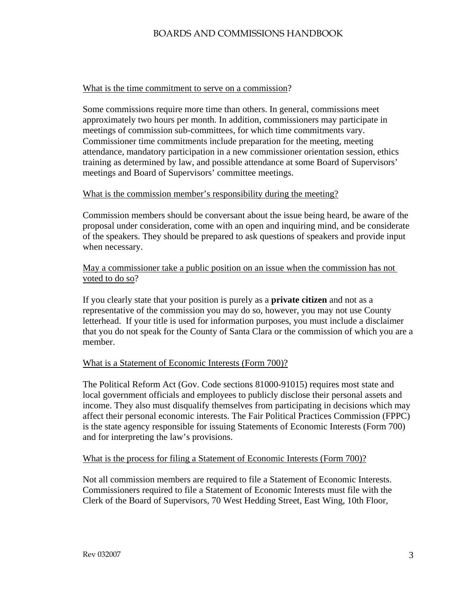#### What is the time commitment to serve on a commission?

Some commissions require more time than others. In general, commissions meet approximately two hours per month. In addition, commissioners may participate in meetings of commission sub-committees, for which time commitments vary. Commissioner time commitments include preparation for the meeting, meeting attendance, mandatory participation in a new commissioner orientation session, ethics training as determined by law, and possible attendance at some Board of Supervisors' meetings and Board of Supervisors' committee meetings.

#### What is the commission member's responsibility during the meeting?

Commission members should be conversant about the issue being heard, be aware of the proposal under consideration, come with an open and inquiring mind, and be considerate of the speakers. They should be prepared to ask questions of speakers and provide input when necessary.

### May a commissioner take a public position on an issue when the commission has not voted to do so?

If you clearly state that your position is purely as a **private citizen** and not as a representative of the commission you may do so, however, you may not use County letterhead. If your title is used for information purposes, you must include a disclaimer that you do not speak for the County of Santa Clara or the commission of which you are a member.

### What is a Statement of Economic Interests (Form 700)?

The Political Reform Act (Gov. Code sections 81000-91015) requires most state and local government officials and employees to publicly disclose their personal assets and income. They also must disqualify themselves from participating in decisions which may affect their personal economic interests. The Fair Political Practices Commission (FPPC) is the state agency responsible for issuing Statements of Economic Interests (Form 700) and for interpreting the law's provisions.

#### What is the process for filing a Statement of Economic Interests (Form 700)?

Not all commission members are required to file a Statement of Economic Interests. Commissioners required to file a Statement of Economic Interests must file with the Clerk of the Board of Supervisors, 70 West Hedding Street, East Wing, 10th Floor,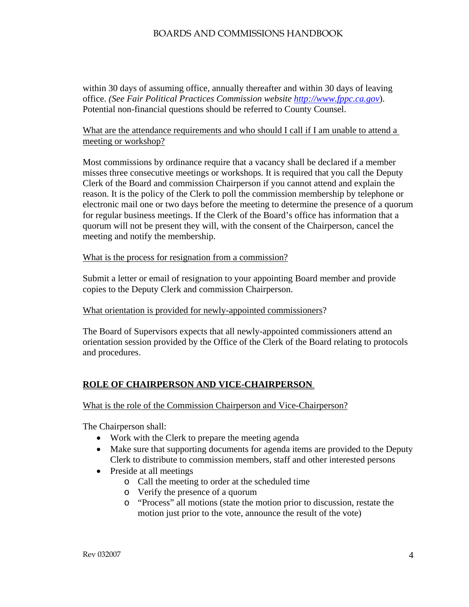within 30 days of assuming office, annually thereafter and within 30 days of leaving office. *(See Fair Political Practices Commission website [http://www.fppc.ca.gov](http://www.fppc.ca.gov/)*). Potential non-financial questions should be referred to County Counsel.

## What are the attendance requirements and who should I call if I am unable to attend a meeting or workshop?

Most commissions by ordinance require that a vacancy shall be declared if a member misses three consecutive meetings or workshops. It is required that you call the Deputy Clerk of the Board and commission Chairperson if you cannot attend and explain the reason. It is the policy of the Clerk to poll the commission membership by telephone or electronic mail one or two days before the meeting to determine the presence of a quorum for regular business meetings. If the Clerk of the Board's office has information that a quorum will not be present they will, with the consent of the Chairperson, cancel the meeting and notify the membership.

## What is the process for resignation from a commission?

Submit a letter or email of resignation to your appointing Board member and provide copies to the Deputy Clerk and commission Chairperson.

### What orientation is provided for newly-appointed commissioners?

The Board of Supervisors expects that all newly-appointed commissioners attend an orientation session provided by the Office of the Clerk of the Board relating to protocols and procedures.

# **ROLE OF CHAIRPERSON AND VICE-CHAIRPERSON**

### What is the role of the Commission Chairperson and Vice-Chairperson?

The Chairperson shall:

- Work with the Clerk to prepare the meeting agenda
- Make sure that supporting documents for agenda items are provided to the Deputy Clerk to distribute to commission members, staff and other interested persons
- Preside at all meetings
	- o Call the meeting to order at the scheduled time
	- o Verify the presence of a quorum
	- o "Process" all motions (state the motion prior to discussion, restate the motion just prior to the vote, announce the result of the vote)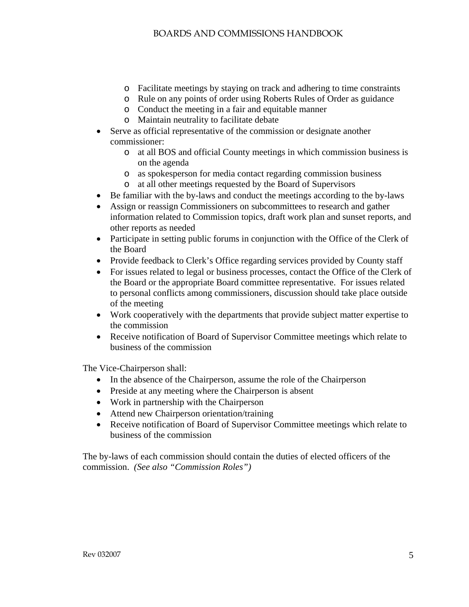- o Facilitate meetings by staying on track and adhering to time constraints
- o Rule on any points of order using Roberts Rules of Order as guidance
- o Conduct the meeting in a fair and equitable manner
- o Maintain neutrality to facilitate debate
- Serve as official representative of the commission or designate another commissioner:
	- o at all BOS and official County meetings in which commission business is on the agenda
	- o as spokesperson for media contact regarding commission business
	- at all other meetings requested by the Board of Supervisors
- Be familiar with the by-laws and conduct the meetings according to the by-laws
- Assign or reassign Commissioners on subcommittees to research and gather information related to Commission topics, draft work plan and sunset reports, and other reports as needed
- Participate in setting public forums in conjunction with the Office of the Clerk of the Board
- Provide feedback to Clerk's Office regarding services provided by County staff
- For issues related to legal or business processes, contact the Office of the Clerk of the Board or the appropriate Board committee representative. For issues related to personal conflicts among commissioners, discussion should take place outside of the meeting
- Work cooperatively with the departments that provide subject matter expertise to the commission
- Receive notification of Board of Supervisor Committee meetings which relate to business of the commission

The Vice-Chairperson shall:

- In the absence of the Chairperson, assume the role of the Chairperson
- Preside at any meeting where the Chairperson is absent
- Work in partnership with the Chairperson
- Attend new Chairperson orientation/training
- Receive notification of Board of Supervisor Committee meetings which relate to business of the commission

The by-laws of each commission should contain the duties of elected officers of the commission. *(See also "Commission Roles")*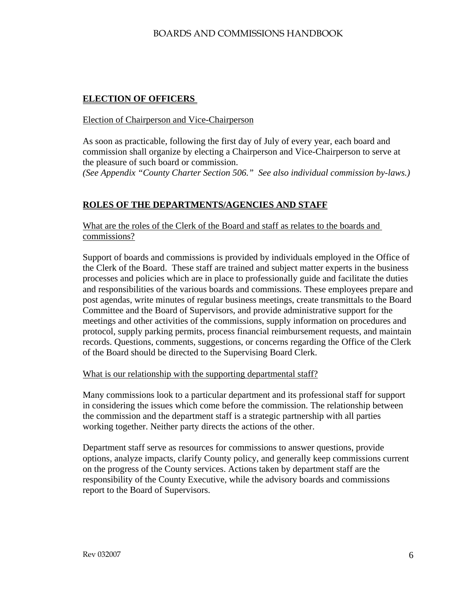# **ELECTION OF OFFICERS**

### Election of Chairperson and Vice-Chairperson

As soon as practicable, following the first day of July of every year, each board and commission shall organize by electing a Chairperson and Vice-Chairperson to serve at the pleasure of such board or commission. *(See Appendix "County Charter Section 506." See also individual commission by-laws.)*

# **ROLES OF THE DEPARTMENTS/AGENCIES AND STAFF**

What are the roles of the Clerk of the Board and staff as relates to the boards and commissions?

Support of boards and commissions is provided by individuals employed in the Office of the Clerk of the Board. These staff are trained and subject matter experts in the business processes and policies which are in place to professionally guide and facilitate the duties and responsibilities of the various boards and commissions. These employees prepare and post agendas, write minutes of regular business meetings, create transmittals to the Board Committee and the Board of Supervisors, and provide administrative support for the meetings and other activities of the commissions, supply information on procedures and protocol, supply parking permits, process financial reimbursement requests, and maintain records. Questions, comments, suggestions, or concerns regarding the Office of the Clerk of the Board should be directed to the Supervising Board Clerk.

### What is our relationship with the supporting departmental staff?

Many commissions look to a particular department and its professional staff for support in considering the issues which come before the commission. The relationship between the commission and the department staff is a strategic partnership with all parties working together. Neither party directs the actions of the other.

Department staff serve as resources for commissions to answer questions, provide options, analyze impacts, clarify County policy, and generally keep commissions current on the progress of the County services. Actions taken by department staff are the responsibility of the County Executive, while the advisory boards and commissions report to the Board of Supervisors.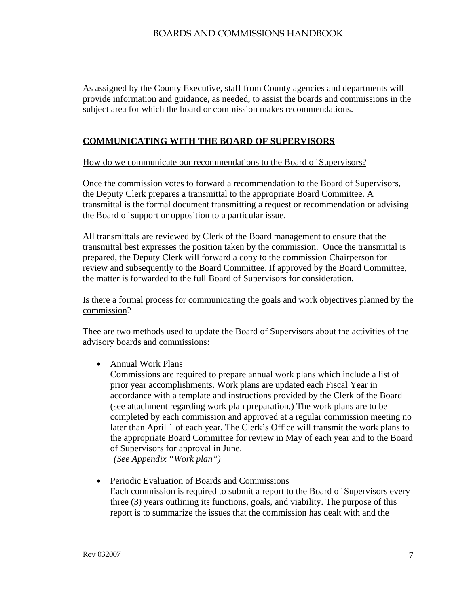As assigned by the County Executive, staff from County agencies and departments will provide information and guidance, as needed, to assist the boards and commissions in the subject area for which the board or commission makes recommendations.

### **COMMUNICATING WITH THE BOARD OF SUPERVISORS**

#### How do we communicate our recommendations to the Board of Supervisors?

Once the commission votes to forward a recommendation to the Board of Supervisors, the Deputy Clerk prepares a transmittal to the appropriate Board Committee. A transmittal is the formal document transmitting a request or recommendation or advising the Board of support or opposition to a particular issue.

All transmittals are reviewed by Clerk of the Board management to ensure that the transmittal best expresses the position taken by the commission. Once the transmittal is prepared, the Deputy Clerk will forward a copy to the commission Chairperson for review and subsequently to the Board Committee. If approved by the Board Committee, the matter is forwarded to the full Board of Supervisors for consideration.

Is there a formal process for communicating the goals and work objectives planned by the commission?

Thee are two methods used to update the Board of Supervisors about the activities of the advisory boards and commissions:

• Annual Work Plans

Commissions are required to prepare annual work plans which include a list of prior year accomplishments. Work plans are updated each Fiscal Year in accordance with a template and instructions provided by the Clerk of the Board (see attachment regarding work plan preparation.) The work plans are to be completed by each commission and approved at a regular commission meeting no later than April 1 of each year. The Clerk's Office will transmit the work plans to the appropriate Board Committee for review in May of each year and to the Board of Supervisors for approval in June.

*(See Appendix "Work plan")*

• Periodic Evaluation of Boards and Commissions Each commission is required to submit a report to the Board of Supervisors every three (3) years outlining its functions, goals, and viability. The purpose of this report is to summarize the issues that the commission has dealt with and the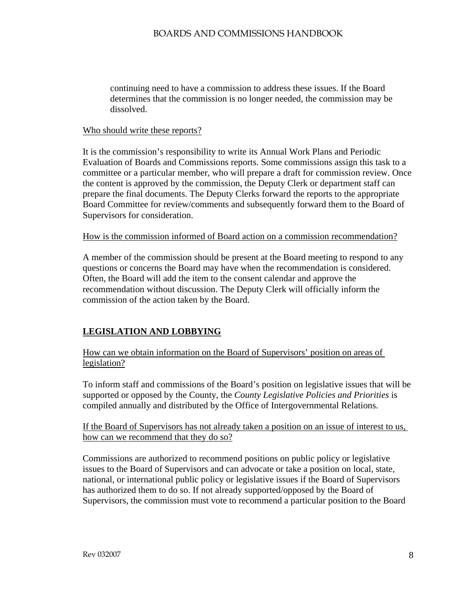continuing need to have a commission to address these issues. If the Board determines that the commission is no longer needed, the commission may be dissolved.

#### Who should write these reports?

It is the commission's responsibility to write its Annual Work Plans and Periodic Evaluation of Boards and Commissions reports. Some commissions assign this task to a committee or a particular member, who will prepare a draft for commission review. Once the content is approved by the commission, the Deputy Clerk or department staff can prepare the final documents. The Deputy Clerks forward the reports to the appropriate Board Committee for review/comments and subsequently forward them to the Board of Supervisors for consideration.

#### How is the commission informed of Board action on a commission recommendation?

A member of the commission should be present at the Board meeting to respond to any questions or concerns the Board may have when the recommendation is considered. Often, the Board will add the item to the consent calendar and approve the recommendation without discussion. The Deputy Clerk will officially inform the commission of the action taken by the Board.

# **LEGISLATION AND LOBBYING**

How can we obtain information on the Board of Supervisors' position on areas of legislation?

To inform staff and commissions of the Board's position on legislative issues that will be supported or opposed by the County, the *County Legislative Policies and Priorities* is compiled annually and distributed by the Office of Intergovernmental Relations.

If the Board of Supervisors has not already taken a position on an issue of interest to us, how can we recommend that they do so?

Commissions are authorized to recommend positions on public policy or legislative issues to the Board of Supervisors and can advocate or take a position on local, state, national, or international public policy or legislative issues if the Board of Supervisors has authorized them to do so. If not already supported/opposed by the Board of Supervisors, the commission must vote to recommend a particular position to the Board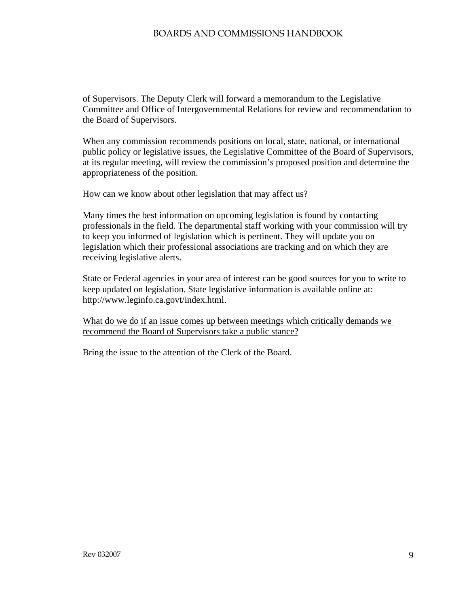of Supervisors. The Deputy Clerk will forward a memorandum to the Legislative Committee and Office of Intergovernmental Relations for review and recommendation to the Board of Supervisors.

When any commission recommends positions on local, state, national, or international public policy or legislative issues, the Legislative Committee of the Board of Supervisors, at its regular meeting, will review the commission's proposed position and determine the appropriateness of the position.

#### How can we know about other legislation that may affect us?

Many times the best information on upcoming legislation is found by contacting professionals in the field. The departmental staff working with your commission will try to keep you informed of legislation which is pertinent. They will update you on legislation which their professional associations are tracking and on which they are receiving legislative alerts.

State or Federal agencies in your area of interest can be good sources for you to write to keep updated on legislation. State legislative information is available online at: http://www.leginfo.ca.govt/index.html.

What do we do if an issue comes up between meetings which critically demands we recommend the Board of Supervisors take a public stance?

Bring the issue to the attention of the Clerk of the Board.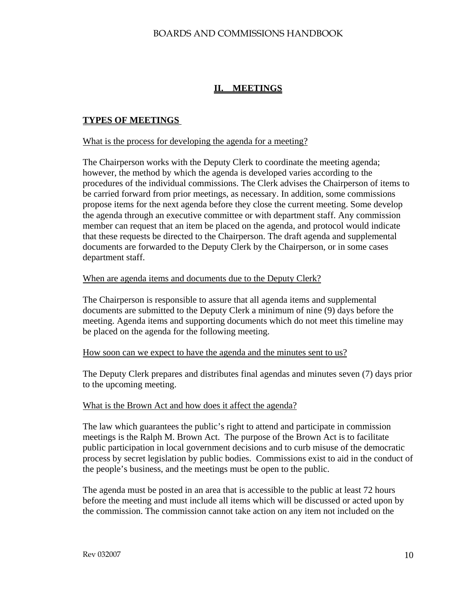# **II. MEETINGS**

### **TYPES OF MEETINGS**

#### What is the process for developing the agenda for a meeting?

The Chairperson works with the Deputy Clerk to coordinate the meeting agenda; however, the method by which the agenda is developed varies according to the procedures of the individual commissions. The Clerk advises the Chairperson of items to be carried forward from prior meetings, as necessary. In addition, some commissions propose items for the next agenda before they close the current meeting. Some develop the agenda through an executive committee or with department staff. Any commission member can request that an item be placed on the agenda, and protocol would indicate that these requests be directed to the Chairperson. The draft agenda and supplemental documents are forwarded to the Deputy Clerk by the Chairperson, or in some cases department staff.

#### When are agenda items and documents due to the Deputy Clerk?

The Chairperson is responsible to assure that all agenda items and supplemental documents are submitted to the Deputy Clerk a minimum of nine (9) days before the meeting. Agenda items and supporting documents which do not meet this timeline may be placed on the agenda for the following meeting.

#### How soon can we expect to have the agenda and the minutes sent to us?

The Deputy Clerk prepares and distributes final agendas and minutes seven (7) days prior to the upcoming meeting.

#### What is the Brown Act and how does it affect the agenda?

The law which guarantees the public's right to attend and participate in commission meetings is the Ralph M. Brown Act. The purpose of the Brown Act is to facilitate public participation in local government decisions and to curb misuse of the democratic process by secret legislation by public bodies. Commissions exist to aid in the conduct of the people's business, and the meetings must be open to the public.

The agenda must be posted in an area that is accessible to the public at least 72 hours before the meeting and must include all items which will be discussed or acted upon by the commission. The commission cannot take action on any item not included on the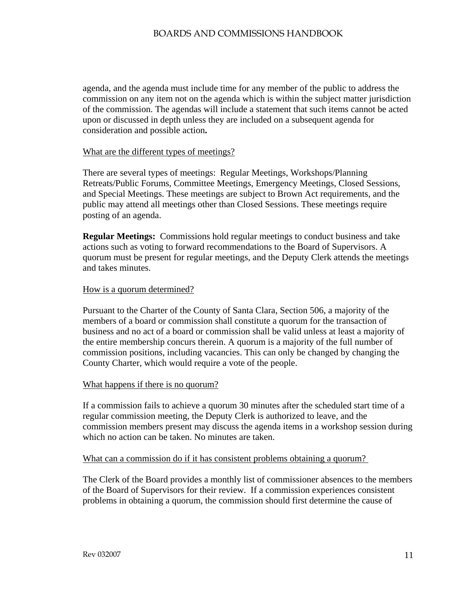agenda, and the agenda must include time for any member of the public to address the commission on any item not on the agenda which is within the subject matter jurisdiction of the commission. The agendas will include a statement that such items cannot be acted upon or discussed in depth unless they are included on a subsequent agenda for consideration and possible action**.**

#### What are the different types of meetings?

There are several types of meetings: Regular Meetings, Workshops/Planning Retreats/Public Forums, Committee Meetings, Emergency Meetings, Closed Sessions, and Special Meetings. These meetings are subject to Brown Act requirements, and the public may attend all meetings other than Closed Sessions. These meetings require posting of an agenda.

**Regular Meetings:** Commissions hold regular meetings to conduct business and take actions such as voting to forward recommendations to the Board of Supervisors. A quorum must be present for regular meetings, and the Deputy Clerk attends the meetings and takes minutes.

### How is a quorum determined?

Pursuant to the Charter of the County of Santa Clara, Section 506, a majority of the members of a board or commission shall constitute a quorum for the transaction of business and no act of a board or commission shall be valid unless at least a majority of the entire membership concurs therein. A quorum is a majority of the full number of commission positions, including vacancies. This can only be changed by changing the County Charter, which would require a vote of the people.

#### What happens if there is no quorum?

If a commission fails to achieve a quorum 30 minutes after the scheduled start time of a regular commission meeting, the Deputy Clerk is authorized to leave, and the commission members present may discuss the agenda items in a workshop session during which no action can be taken. No minutes are taken.

#### What can a commission do if it has consistent problems obtaining a quorum?

The Clerk of the Board provides a monthly list of commissioner absences to the members of the Board of Supervisors for their review. If a commission experiences consistent problems in obtaining a quorum, the commission should first determine the cause of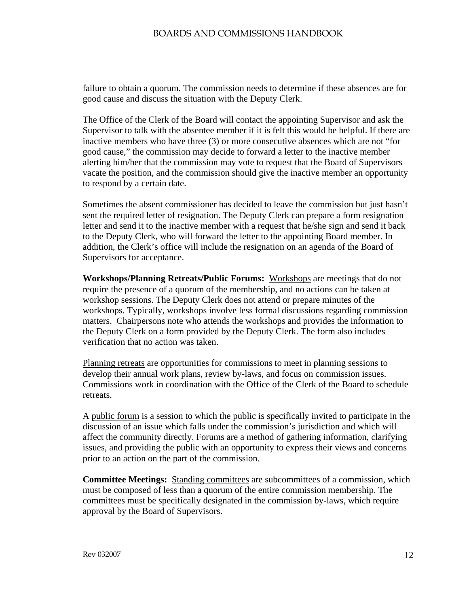failure to obtain a quorum. The commission needs to determine if these absences are for good cause and discuss the situation with the Deputy Clerk.

The Office of the Clerk of the Board will contact the appointing Supervisor and ask the Supervisor to talk with the absentee member if it is felt this would be helpful. If there are inactive members who have three (3) or more consecutive absences which are not "for good cause," the commission may decide to forward a letter to the inactive member alerting him/her that the commission may vote to request that the Board of Supervisors vacate the position, and the commission should give the inactive member an opportunity to respond by a certain date.

Sometimes the absent commissioner has decided to leave the commission but just hasn't sent the required letter of resignation. The Deputy Clerk can prepare a form resignation letter and send it to the inactive member with a request that he/she sign and send it back to the Deputy Clerk, who will forward the letter to the appointing Board member. In addition, the Clerk's office will include the resignation on an agenda of the Board of Supervisors for acceptance.

**Workshops/Planning Retreats/Public Forums:** Workshops are meetings that do not require the presence of a quorum of the membership, and no actions can be taken at workshop sessions. The Deputy Clerk does not attend or prepare minutes of the workshops. Typically, workshops involve less formal discussions regarding commission matters. Chairpersons note who attends the workshops and provides the information to the Deputy Clerk on a form provided by the Deputy Clerk. The form also includes verification that no action was taken.

Planning retreats are opportunities for commissions to meet in planning sessions to develop their annual work plans, review by-laws, and focus on commission issues. Commissions work in coordination with the Office of the Clerk of the Board to schedule retreats.

A public forum is a session to which the public is specifically invited to participate in the discussion of an issue which falls under the commission's jurisdiction and which will affect the community directly. Forums are a method of gathering information, clarifying issues, and providing the public with an opportunity to express their views and concerns prior to an action on the part of the commission.

**Committee Meetings:** Standing committees are subcommittees of a commission, which must be composed of less than a quorum of the entire commission membership. The committees must be specifically designated in the commission by-laws, which require approval by the Board of Supervisors.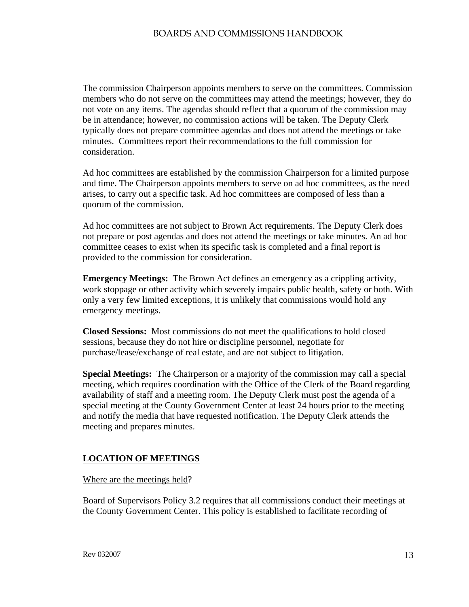The commission Chairperson appoints members to serve on the committees. Commission members who do not serve on the committees may attend the meetings; however, they do not vote on any items. The agendas should reflect that a quorum of the commission may be in attendance; however, no commission actions will be taken. The Deputy Clerk typically does not prepare committee agendas and does not attend the meetings or take minutes. Committees report their recommendations to the full commission for consideration.

Ad hoc committees are established by the commission Chairperson for a limited purpose and time. The Chairperson appoints members to serve on ad hoc committees, as the need arises, to carry out a specific task. Ad hoc committees are composed of less than a quorum of the commission.

Ad hoc committees are not subject to Brown Act requirements. The Deputy Clerk does not prepare or post agendas and does not attend the meetings or take minutes. An ad hoc committee ceases to exist when its specific task is completed and a final report is provided to the commission for consideration.

**Emergency Meetings:** The Brown Act defines an emergency as a crippling activity, work stoppage or other activity which severely impairs public health, safety or both. With only a very few limited exceptions, it is unlikely that commissions would hold any emergency meetings.

**Closed Sessions:** Most commissions do not meet the qualifications to hold closed sessions, because they do not hire or discipline personnel, negotiate for purchase/lease/exchange of real estate, and are not subject to litigation.

**Special Meetings:** The Chairperson or a majority of the commission may call a special meeting, which requires coordination with the Office of the Clerk of the Board regarding availability of staff and a meeting room. The Deputy Clerk must post the agenda of a special meeting at the County Government Center at least 24 hours prior to the meeting and notify the media that have requested notification. The Deputy Clerk attends the meeting and prepares minutes.

# **LOCATION OF MEETINGS**

Where are the meetings held?

Board of Supervisors Policy 3.2 requires that all commissions conduct their meetings at the County Government Center. This policy is established to facilitate recording of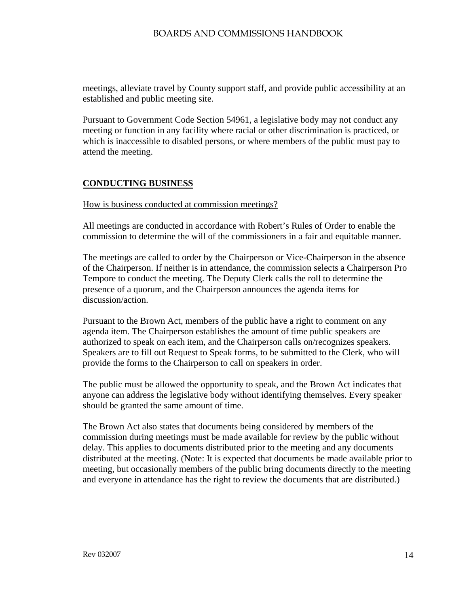meetings, alleviate travel by County support staff, and provide public accessibility at an established and public meeting site.

Pursuant to Government Code Section 54961, a legislative body may not conduct any meeting or function in any facility where racial or other discrimination is practiced, or which is inaccessible to disabled persons, or where members of the public must pay to attend the meeting.

# **CONDUCTING BUSINESS**

### How is business conducted at commission meetings?

All meetings are conducted in accordance with Robert's Rules of Order to enable the commission to determine the will of the commissioners in a fair and equitable manner.

The meetings are called to order by the Chairperson or Vice-Chairperson in the absence of the Chairperson. If neither is in attendance, the commission selects a Chairperson Pro Tempore to conduct the meeting. The Deputy Clerk calls the roll to determine the presence of a quorum*,* and the Chairperson announces the agenda items for discussion/action.

Pursuant to the Brown Act, members of the public have a right to comment on any agenda item. The Chairperson establishes the amount of time public speakers are authorized to speak on each item, and the Chairperson calls on/recognizes speakers. Speakers are to fill out Request to Speak forms, to be submitted to the Clerk, who will provide the forms to the Chairperson to call on speakers in order.

The public must be allowed the opportunity to speak, and the Brown Act indicates that anyone can address the legislative body without identifying themselves. Every speaker should be granted the same amount of time.

The Brown Act also states that documents being considered by members of the commission during meetings must be made available for review by the public without delay. This applies to documents distributed prior to the meeting and any documents distributed at the meeting. (Note: It is expected that documents be made available prior to meeting, but occasionally members of the public bring documents directly to the meeting and everyone in attendance has the right to review the documents that are distributed.)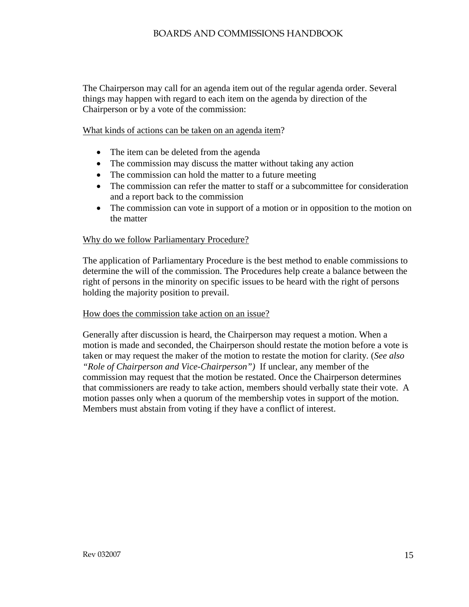The Chairperson may call for an agenda item out of the regular agenda order. Several things may happen with regard to each item on the agenda by direction of the Chairperson or by a vote of the commission:

What kinds of actions can be taken on an agenda item?

- The item can be deleted from the agenda
- The commission may discuss the matter without taking any action
- The commission can hold the matter to a future meeting
- The commission can refer the matter to staff or a subcommittee for consideration and a report back to the commission
- The commission can vote in support of a motion or in opposition to the motion on the matter

#### Why do we follow Parliamentary Procedure?

The application of Parliamentary Procedure is the best method to enable commissions to determine the will of the commission. The Procedures help create a balance between the right of persons in the minority on specific issues to be heard with the right of persons holding the majority position to prevail.

#### How does the commission take action on an issue?

Generally after discussion is heard, the Chairperson may request a motion. When a motion is made and seconded, the Chairperson should restate the motion before a vote is taken or may request the maker of the motion to restate the motion for clarity*.* (*See also "Role of Chairperson and Vice-Chairperson")* If unclear, any member of the commission may request that the motion be restated. Once the Chairperson determines that commissioners are ready to take action, members should verbally state their vote. A motion passes only when a quorum of the membership votes in support of the motion. Members must abstain from voting if they have a conflict of interest.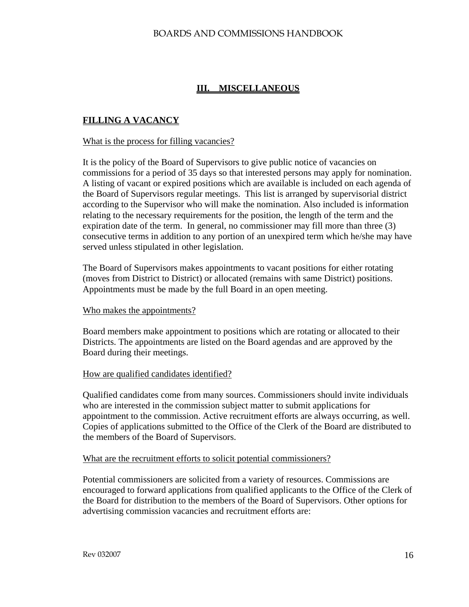# **III. MISCELLANEOUS**

# **FILLING A VACANCY**

#### What is the process for filling vacancies?

It is the policy of the Board of Supervisors to give public notice of vacancies on commissions for a period of 35 days so that interested persons may apply for nomination. A listing of vacant or expired positions which are available is included on each agenda of the Board of Supervisors regular meetings. This list is arranged by supervisorial district according to the Supervisor who will make the nomination. Also included is information relating to the necessary requirements for the position, the length of the term and the expiration date of the term. In general, no commissioner may fill more than three (3) consecutive terms in addition to any portion of an unexpired term which he/she may have served unless stipulated in other legislation.

The Board of Supervisors makes appointments to vacant positions for either rotating (moves from District to District) or allocated (remains with same District) positions. Appointments must be made by the full Board in an open meeting.

#### Who makes the appointments?

Board members make appointment to positions which are rotating or allocated to their Districts. The appointments are listed on the Board agendas and are approved by the Board during their meetings.

#### How are qualified candidates identified?

Qualified candidates come from many sources. Commissioners should invite individuals who are interested in the commission subject matter to submit applications for appointment to the commission. Active recruitment efforts are always occurring, as well. Copies of applications submitted to the Office of the Clerk of the Board are distributed to the members of the Board of Supervisors.

#### What are the recruitment efforts to solicit potential commissioners?

Potential commissioners are solicited from a variety of resources. Commissions are encouraged to forward applications from qualified applicants to the Office of the Clerk of the Board for distribution to the members of the Board of Supervisors. Other options for advertising commission vacancies and recruitment efforts are: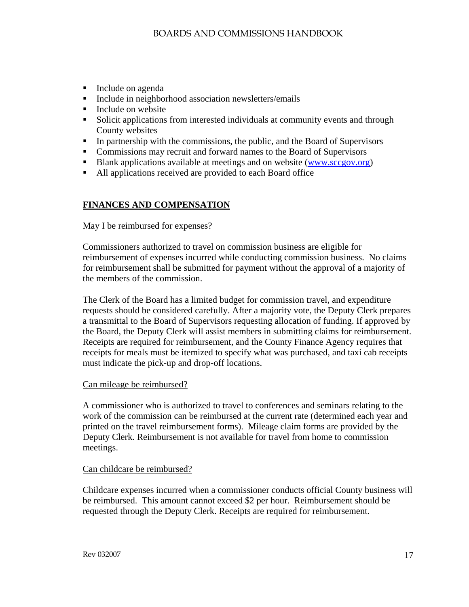- **Include on agenda**
- **Include in neighborhood association newsletters/emails**
- Include on website
- Solicit applications from interested individuals at community events and through County websites
- In partnership with the commissions, the public, and the Board of Supervisors
- Commissions may recruit and forward names to the Board of Supervisors
- Blank applications available at meetings and on website ([www.sccgov.org](http://www.sccgov.org/))
- All applications received are provided to each Board office

# **FINANCES AND COMPENSATION**

### May I be reimbursed for expenses?

Commissioners authorized to travel on commission business are eligible for reimbursement of expenses incurred while conducting commission business. No claims for reimbursement shall be submitted for payment without the approval of a majority of the members of the commission.

The Clerk of the Board has a limited budget for commission travel, and expenditure requests should be considered carefully. After a majority vote, the Deputy Clerk prepares a transmittal to the Board of Supervisors requesting allocation of funding. If approved by the Board, the Deputy Clerk will assist members in submitting claims for reimbursement. Receipts are required for reimbursement, and the County Finance Agency requires that receipts for meals must be itemized to specify what was purchased, and taxi cab receipts must indicate the pick-up and drop-off locations.

### Can mileage be reimbursed?

A commissioner who is authorized to travel to conferences and seminars relating to the work of the commission can be reimbursed at the current rate (determined each year and printed on the travel reimbursement forms). Mileage claim forms are provided by the Deputy Clerk. Reimbursement is not available for travel from home to commission meetings.

### Can childcare be reimbursed?

Childcare expenses incurred when a commissioner conducts official County business will be reimbursed. This amount cannot exceed \$2 per hour. Reimbursement should be requested through the Deputy Clerk. Receipts are required for reimbursement.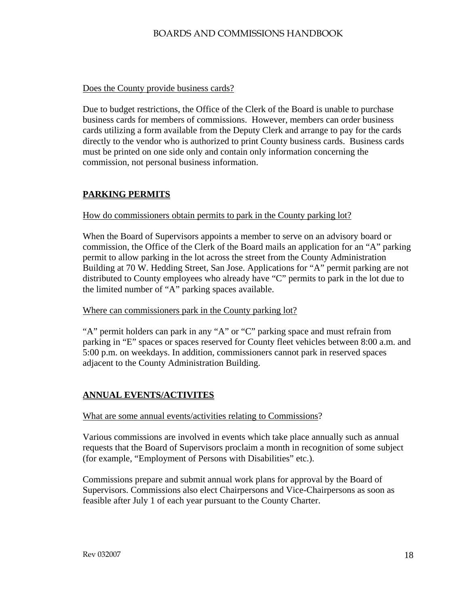### Does the County provide business cards?

Due to budget restrictions, the Office of the Clerk of the Board is unable to purchase business cards for members of commissions. However, members can order business cards utilizing a form available from the Deputy Clerk and arrange to pay for the cards directly to the vendor who is authorized to print County business cards. Business cards must be printed on one side only and contain only information concerning the commission, not personal business information.

# **PARKING PERMITS**

### How do commissioners obtain permits to park in the County parking lot?

When the Board of Supervisors appoints a member to serve on an advisory board or commission, the Office of the Clerk of the Board mails an application for an "A" parking permit to allow parking in the lot across the street from the County Administration Building at 70 W. Hedding Street, San Jose. Applications for "A" permit parking are not distributed to County employees who already have "C" permits to park in the lot due to the limited number of "A" parking spaces available.

### Where can commissioners park in the County parking lot?

"A" permit holders can park in any "A" or "C" parking space and must refrain from parking in "E" spaces or spaces reserved for County fleet vehicles between 8:00 a.m. and 5:00 p.m. on weekdays. In addition, commissioners cannot park in reserved spaces adjacent to the County Administration Building.

# **ANNUAL EVENTS/ACTIVITES**

### What are some annual events/activities relating to Commissions?

Various commissions are involved in events which take place annually such as annual requests that the Board of Supervisors proclaim a month in recognition of some subject (for example, "Employment of Persons with Disabilities" etc.).

Commissions prepare and submit annual work plans for approval by the Board of Supervisors. Commissions also elect Chairpersons and Vice-Chairpersons as soon as feasible after July 1 of each year pursuant to the County Charter.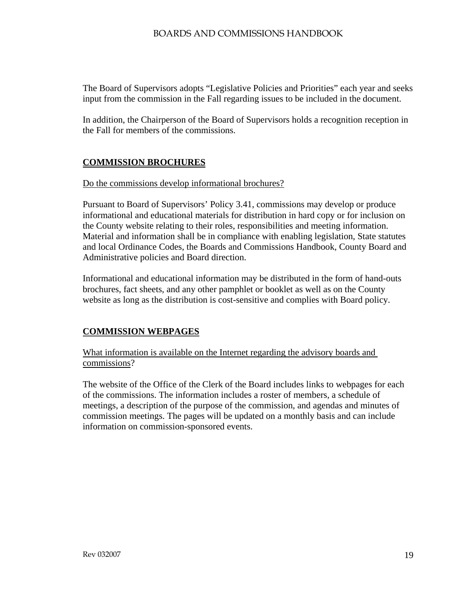The Board of Supervisors adopts "Legislative Policies and Priorities" each year and seeks input from the commission in the Fall regarding issues to be included in the document.

In addition, the Chairperson of the Board of Supervisors holds a recognition reception in the Fall for members of the commissions.

# **COMMISSION BROCHURES**

### Do the commissions develop informational brochures?

Pursuant to Board of Supervisors' Policy 3.41, commissions may develop or produce informational and educational materials for distribution in hard copy or for inclusion on the County website relating to their roles, responsibilities and meeting information. Material and information shall be in compliance with enabling legislation, State statutes and local Ordinance Codes, the Boards and Commissions Handbook, County Board and Administrative policies and Board direction.

Informational and educational information may be distributed in the form of hand-outs brochures, fact sheets, and any other pamphlet or booklet as well as on the County website as long as the distribution is cost-sensitive and complies with Board policy.

# **COMMISSION WEBPAGES**

What information is available on the Internet regarding the advisory boards and commissions?

The website of the Office of the Clerk of the Board includes links to webpages for each of the commissions. The information includes a roster of members, a schedule of meetings, a description of the purpose of the commission, and agendas and minutes of commission meetings. The pages will be updated on a monthly basis and can include information on commission-sponsored events.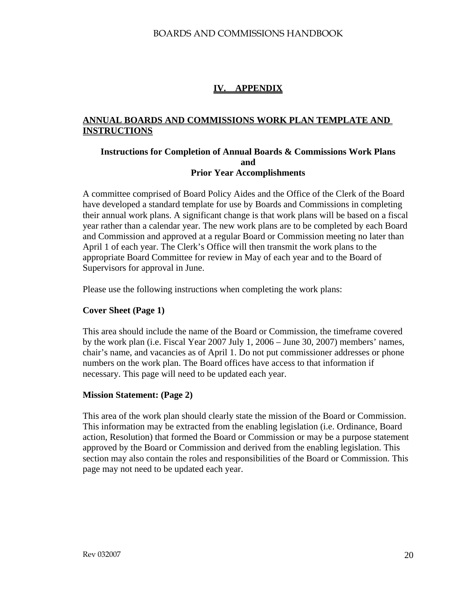# **IV. APPENDIX**

# **ANNUAL BOARDS AND COMMISSIONS WORK PLAN TEMPLATE AND INSTRUCTIONS**

### **Instructions for Completion of Annual Boards & Commissions Work Plans and Prior Year Accomplishments**

A committee comprised of Board Policy Aides and the Office of the Clerk of the Board have developed a standard template for use by Boards and Commissions in completing their annual work plans. A significant change is that work plans will be based on a fiscal year rather than a calendar year. The new work plans are to be completed by each Board and Commission and approved at a regular Board or Commission meeting no later than April 1 of each year. The Clerk's Office will then transmit the work plans to the appropriate Board Committee for review in May of each year and to the Board of Supervisors for approval in June.

Please use the following instructions when completing the work plans:

### **Cover Sheet (Page 1)**

This area should include the name of the Board or Commission, the timeframe covered by the work plan (i.e. Fiscal Year 2007 July 1, 2006 – June 30, 2007) members' names, chair's name, and vacancies as of April 1. Do not put commissioner addresses or phone numbers on the work plan. The Board offices have access to that information if necessary. This page will need to be updated each year.

### **Mission Statement: (Page 2)**

This area of the work plan should clearly state the mission of the Board or Commission. This information may be extracted from the enabling legislation (i.e. Ordinance, Board action, Resolution) that formed the Board or Commission or may be a purpose statement approved by the Board or Commission and derived from the enabling legislation. This section may also contain the roles and responsibilities of the Board or Commission. This page may not need to be updated each year.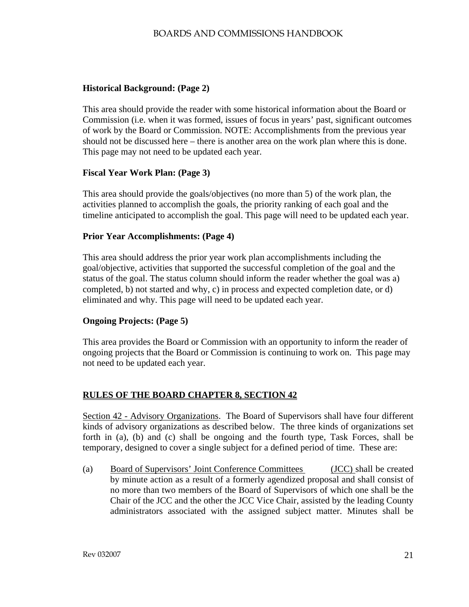# **Historical Background: (Page 2)**

This area should provide the reader with some historical information about the Board or Commission (i.e. when it was formed, issues of focus in years' past, significant outcomes of work by the Board or Commission. NOTE: Accomplishments from the previous year should not be discussed here – there is another area on the work plan where this is done. This page may not need to be updated each year.

### **Fiscal Year Work Plan: (Page 3)**

This area should provide the goals/objectives (no more than 5) of the work plan, the activities planned to accomplish the goals, the priority ranking of each goal and the timeline anticipated to accomplish the goal. This page will need to be updated each year.

### **Prior Year Accomplishments: (Page 4)**

This area should address the prior year work plan accomplishments including the goal/objective, activities that supported the successful completion of the goal and the status of the goal. The status column should inform the reader whether the goal was a) completed, b) not started and why, c) in process and expected completion date, or d) eliminated and why. This page will need to be updated each year.

### **Ongoing Projects: (Page 5)**

This area provides the Board or Commission with an opportunity to inform the reader of ongoing projects that the Board or Commission is continuing to work on. This page may not need to be updated each year.

# **RULES OF THE BOARD CHAPTER 8, SECTION 42**

Section 42 - Advisory Organizations. The Board of Supervisors shall have four different kinds of advisory organizations as described below. The three kinds of organizations set forth in (a), (b) and (c) shall be ongoing and the fourth type, Task Forces, shall be temporary, designed to cover a single subject for a defined period of time. These are:

(a) Board of Supervisors' Joint Conference Committees (JCC) shall be created by minute action as a result of a formerly agendized proposal and shall consist of no more than two members of the Board of Supervisors of which one shall be the Chair of the JCC and the other the JCC Vice Chair, assisted by the leading County administrators associated with the assigned subject matter. Minutes shall be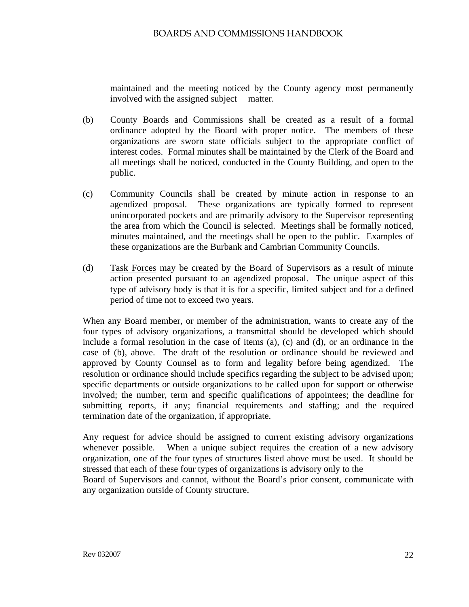maintained and the meeting noticed by the County agency most permanently involved with the assigned subject matter.

- (b) County Boards and Commissions shall be created as a result of a formal ordinance adopted by the Board with proper notice. The members of these organizations are sworn state officials subject to the appropriate conflict of interest codes. Formal minutes shall be maintained by the Clerk of the Board and all meetings shall be noticed, conducted in the County Building, and open to the public.
- (c) Community Councils shall be created by minute action in response to an agendized proposal. These organizations are typically formed to represent unincorporated pockets and are primarily advisory to the Supervisor representing the area from which the Council is selected. Meetings shall be formally noticed, minutes maintained, and the meetings shall be open to the public. Examples of these organizations are the Burbank and Cambrian Community Councils.
- (d) Task Forces may be created by the Board of Supervisors as a result of minute action presented pursuant to an agendized proposal. The unique aspect of this type of advisory body is that it is for a specific, limited subject and for a defined period of time not to exceed two years.

When any Board member, or member of the administration, wants to create any of the four types of advisory organizations, a transmittal should be developed which should include a formal resolution in the case of items (a), (c) and (d), or an ordinance in the case of (b), above. The draft of the resolution or ordinance should be reviewed and approved by County Counsel as to form and legality before being agendized. The resolution or ordinance should include specifics regarding the subject to be advised upon; specific departments or outside organizations to be called upon for support or otherwise involved; the number, term and specific qualifications of appointees; the deadline for submitting reports, if any; financial requirements and staffing; and the required termination date of the organization, if appropriate.

Any request for advice should be assigned to current existing advisory organizations whenever possible. When a unique subject requires the creation of a new advisory organization, one of the four types of structures listed above must be used. It should be stressed that each of these four types of organizations is advisory only to the

Board of Supervisors and cannot, without the Board's prior consent, communicate with any organization outside of County structure.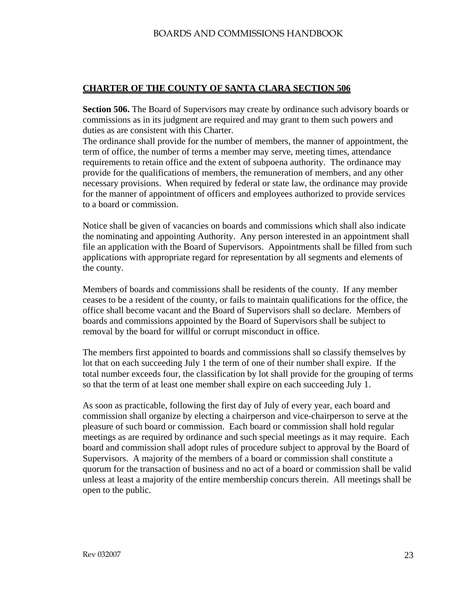### **CHARTER OF THE COUNTY OF SANTA CLARA SECTION 506**

**Section 506.** The Board of Supervisors may create by ordinance such advisory boards or commissions as in its judgment are required and may grant to them such powers and duties as are consistent with this Charter.

The ordinance shall provide for the number of members, the manner of appointment, the term of office, the number of terms a member may serve, meeting times, attendance requirements to retain office and the extent of subpoena authority. The ordinance may provide for the qualifications of members, the remuneration of members, and any other necessary provisions. When required by federal or state law, the ordinance may provide for the manner of appointment of officers and employees authorized to provide services to a board or commission.

Notice shall be given of vacancies on boards and commissions which shall also indicate the nominating and appointing Authority. Any person interested in an appointment shall file an application with the Board of Supervisors. Appointments shall be filled from such applications with appropriate regard for representation by all segments and elements of the county.

Members of boards and commissions shall be residents of the county. If any member ceases to be a resident of the county, or fails to maintain qualifications for the office, the office shall become vacant and the Board of Supervisors shall so declare. Members of boards and commissions appointed by the Board of Supervisors shall be subject to removal by the board for willful or corrupt misconduct in office.

The members first appointed to boards and commissions shall so classify themselves by lot that on each succeeding July 1 the term of one of their number shall expire. If the total number exceeds four, the classification by lot shall provide for the grouping of terms so that the term of at least one member shall expire on each succeeding July 1.

As soon as practicable, following the first day of July of every year, each board and commission shall organize by electing a chairperson and vice-chairperson to serve at the pleasure of such board or commission. Each board or commission shall hold regular meetings as are required by ordinance and such special meetings as it may require. Each board and commission shall adopt rules of procedure subject to approval by the Board of Supervisors. A majority of the members of a board or commission shall constitute a quorum for the transaction of business and no act of a board or commission shall be valid unless at least a majority of the entire membership concurs therein. All meetings shall be open to the public.